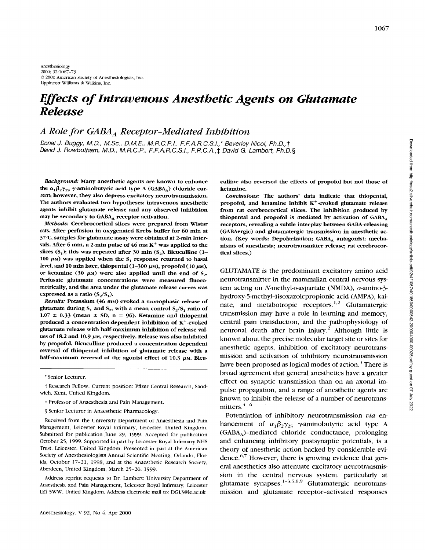Anesthesiology *2000;* **921067-73**  *0 2000* Amrrican Socirty of **Ancsthrsiologists,** Inc. Lippincott Williams *Sr* Wilkins, Inc.

# *Effects of Intravenous Anesthetic Agents on Glutamate Release*

## *A Role for GABA, Receptor-Mediated Inhibition*

*Dona1 J. Buggy, M.D., M.Sc., D.M.E., M.R.C.P.I., F.F.A.R.C.S.I.,\* Beverley Nicol, Ph.D.,t David J. Rowbotham, M.D., M.R.C.P., F.F.A.R.C.S.I., F.R.C.A.,\$ David G. Lambert, Ph.D.3* 

the  $\alpha_1 \beta_2 \gamma_{2s}$   $\gamma$ -aminobutyric acid type A (GABA<sub>A</sub>) chloride cur- ketamine. rent; however, they **also** depress excitatory neurotransmission. *Conclusions:* The authors' data indicate that thiopental, The authors evaluated two hypotheses: intravenous anesthetic agents inhibit glutamate release and any observed inhibition may be secondary to GABA, receptor activation.

*Methods:* Cerebrocortical slices were prepared from Wistar rats. After perfusion in oxygenated Krebs buffer for *60* min at **37"C,** samples for glutamate assay were obtained at 2-min intervals. After 6 min, a 2-min pulse of 46 mm K<sup>+</sup> was applied to the slices  $(S_1)$ ; this was repeated after 30 min  $(S_2)$ . Bicuculline (1-100  $\mu$ M) was applied when the S<sub>1</sub> response returned to basal level, and 10 min later, thiopental  $(1-300 \mu)$ , propofol $(10 \mu)$ , or ketamine (30  $\mu$ <sub>M</sub>) were also applied until the end of S<sub>2</sub>. Perfusate glutamate concentrations were measured fluorometrically, and the area under the glutamate release curves was expressed as a ratio  $(S_2/S_1)$ .

*Results: Potassium (46 mm) evoked a monophasic release of* glutamate during  $S_1$  and  $S_2$ , with a mean control  $S_2/S_1$  ratio of  $1.07 \pm 0.33$  (mean  $\pm$  SD, n = 96). Ketamine and thiopental produced a concentration-dependent inhibition of K+-evoked glutamate release with half-maximum inhibition of release values of 18.2 and 10.9  $\mu$ <sub>M</sub>, respectively. Release was also inhibited by propofol. Bicuculline produced a concentration dependent reversal of thiopental inhibition of glutamate release with a half-maximum reversal of the agonist effect of 10.3  $\mu$ M. Bicu-

Address reprint requests to Dr. Lambert: University Department of Anaesthesia and Pain Management, Leicester Royal Infirmary, Leicester LE1 5WW, United Kingdom. Address electronic mail to: DGL3@le.ac.uk mission and glutamate receptor-activated responses

*Background:* Many anesthetic agents are known to enhance culline also reversed the effects of propofol but not those of

propofol, and ketamine inhibit  $K^+$ -evoked glutamate release from rat cerebrocortical slices. The inhibition produced by thiopental and propofol is mediated by activation of  $GABA_A$ receptors, revealing a subtle interplay between GABA-releasing (GABAergic) and glutamatergic transmission in anesthetic action. (Key words: Depolarization; GABA, antagonist; mechanisms of anesthesia; neurotransmitter release; rat cerebrocortical slices.)

GLUTAMATE is the predominant excitatory amino acid neurotransmitter in the mammalian central nervous **sys**tem acting on N-methyl-p-aspartate (NMDA),  $\alpha$ -amino-3**hydroxy-5-methyl-4isoxazolepropionic** acid (AMPA), kainate, and metabotropic receptors.<sup>1,2</sup> Glutamatergic transmission may have a role in learning and memory, central pain transduction, and the pathophysiology of neuronal death after brain injury.<sup>2</sup> Although little is known about the precise molecular target site or sites for anesthetic agepts, inhibition of excitatory neurotransmission and activation of inhibitory neurotransmission have been proposed as logical modes of action. $3$  There is broad agreement that general anesthetics have a greater effect on synaptic transmission than on an axonal impulse propagation, and a range of anesthetic agents are known to inhibit the release of a number of neurotransmitters. $4 - 6$ 

Potentiation of inhibitory neurotransmission *via* enhancement of  $\alpha_1\beta_2\gamma_{2S}$   $\gamma$ -aminobutyric acid type A (GABA,)-mediated chloride conductance, prolonging and enhancing inhibitory postsynaptic potentials, is a theory of anesthetic action backed by considerable evidence. $6.7$  However, there is growing evidence that general anesthetics also attenuate excitatory neurotransmission in the central nervous system, particularly at glutamate synapses.<sup>1-3,5,8,9</sup> Glutamatergic neurotrans-

<sup>\*</sup> Senior Lecturer.

*t* Research Fellow. Current position: Pfizer Central Research, Sand wich, Kent, United Kingdom.

<sup>\$</sup> Professor of Anaesthesia and Pain Management

<sup>§</sup> Senior Lecturer in Anaesthetic Pharmacology.

Received from the University Department of Anaesthesia and Pain Management, Leicester Royal Infirmary, Leicester, United Kingdom. Submitted for publication June 29, 1999. Accepted for publication October 25, 1999. Supported in part by Leicester Royal Infirmary NHS Tmst, Leicester, United Kingdom. Presented in part at the American Society of Anesthesiologists Annual Scientific Meeting, Orlando, Florida, October 17-21, 1998, and at the Anaesthetic Research Society, Aberdeen, United Kingdom, March 25-26, 1999.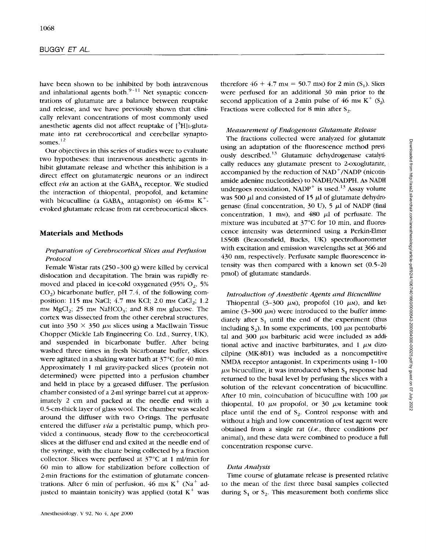have been shown to be inhibited by both intravenous and inhalational agents both. $9-11$  Net synaptic concentrations of glutamate are a balance between reuptake and release, and we have previously shown that clinically relevant concentrations of most commonly used anesthetic agents did not affect reuptake of  $[^{3}H]_{1}$ . glutamate into rat cerebrocortical and cerebellar synaptosomes.<sup>12</sup>

Our objectives in this series of studies were to evaluate two hypotheses: that intravenous anesthetic agents inhibit glutamate release and whether this inhibition is a direct effect on glutamatergic neurons or an indirect effect *via* an action at the GABA, receptor. We studied the interaction of thiopentdl, propofol, and ketamine with bicuculline (a GABA, antagonist) on 46-mm  $K^+$ evoked glutamate release from rat cerebrocortical slices.

## **Materials and Methods**

## *Preparution of Cerebrocortical Slices and Perfusion Protocol*

Female Wistar rats (250 -300 g) were killed by cervical dislocation and decapitation. The brain was rapidly removed and placed in ice-cold oxygenated  $(95\% \text{ O}_2, 5\%)$  $CO<sub>2</sub>$ ) bicarbonate buffer, pH 7.4, of the following composition: 115 mm NaCl;  $4.7$  mm KCl;  $2.0$  mm CaCl<sub>2</sub>;  $1.2$ mm  $MgCl<sub>2</sub>$ ; 25 mm  $NaHCO<sub>3</sub>$ ; and 8.8 mm glucose. The cortex was dissected from the other cerebral structures, cut into  $350 \times 350 \mu$ <sub>M</sub> slices using a MacIlwain Tissue Chopper (Mickle Lab Engineering Co. Ltd., Surrey, UK), and suspended in bicarbonate buffer. After being washed three times in fresh bicarbonate buffer, slices were agitated in a shaking water bath at 37°C for 40 min. Approximately 1 ml gravity-packed slices (protein not determined) were pipetted into a perfusion chamber and held in place by a greased diffuser. The perfusion chamber consisted of a 2-ml syringe barrel cut at approximately 2 cm and packed at the needle end with a 0.5-cm-thick layer of glass wool. The chamber was sealed around the diffuser with two O-rings. The perfusate entered the diffuser *via* a peristaltic pump, which provided a continuous, steady flow to the cerebrocortical slices at the diffuser end and exited at the needle end of the syringe, with the eluate being collected by a fraction collector. Slices were perfused at 37°C at 1 ml/min for 60 min to allow for stabilization before collection of 2-min fractions for the estimation of glutamate concentrations. After 6 min of perfusion, 46 mm  $K^+$  (Na<sup>+</sup> adjusted to maintain tonicity) was applied (total  $K^+$  was therefore  $46 + 4.7$  m<sub>M</sub> = 50.7 m<sub>M</sub>) for 2 min (S<sub>1</sub>). Slices were perfused for an additional 30 min prior to the second application of a 2-min pulse of 46 mm  $K^+$  (S<sub>2</sub>). Fractions were collected for 8 min after  $S_2$ .

#### *Measurement of Endogenous Glutamate Release*

The fractions collected were analyzed for glutamate using an adaptation of the fluorescence method previously described.<sup>13</sup> Glutamate dehydrogenase catalytically reduces any glutamate present to 2-oxoglutarate, accompanied by the reduction of  $NAD^+/NADP$  (nicotinamide adenine nucleotides) to NADH/NADPH. As NADH undergoes reoxidation,  $NADP<sup>+</sup>$  is used.<sup>13</sup> Assay volume was 500  $\mu$ l and consisted of 15  $\mu$ l of glutamate dehydrogenase (final concentration, 30 U),  $5 \mu l$  of NADP (final concentration, 1 mm), and 480  $\mu$ l of perfusate. The mixture was incubated at 37°C for 10 min, and fluorescence intensity was determined using a Perkin-Elmer LS50B (Beaconsfield, Bucks, **UK)** spectrofluorometer with excitation and emission wavelengths set at 366 and 430 nm, respectively. Perfusate sample fluorescence intensity was then compared with a known set (0.5-20 pmol) of glutamate standards.

#### *Introduction of Anesthetic Agents and Bicuculline*

Thiopental  $(3-300 \mu)$ , propofol  $(10 \mu)$ , and ketamine  $(3-300 \mu)$  were introduced to the buffer immediately after **S,** until the end of the experiment (thus including  $S_2$ ). In some experiments, 100  $\mu$ M pentobarbital and  $300 \mu$ <sup>m</sup> barbituric acid were included as additional active and inactive barbiturates, and  $1 \mu$ <sup>M</sup> dizocilpine (MK-8b1) was included as a noncompetitive NMDA receptor antagonist. In experiments using 1-100  $\mu$ <sup>M</sup> bicuculline, it was introduced when  $S_1$  response had returned to the basal level by perfusing the slices with a solution of the relevant concentration of bicuculline. After 10 min, coincubation of bicuculline with 100  $\mu$ M thiopental, 10  $\mu$ <sup>*m*</sup> propofol, or 30  $\mu$ <sup>*m*</sup> ketamine took place until the end of S<sub>2</sub>. Control response with and without a high and low concentration of test agent were obtained from a single rat *(i.e.,* three conditions per animal), and these data were combined to produce a full concentration response curve.

#### *Datu Analysis*

Time course of glutamate release is presented relative to the mean of the first three basal samples collected during  $S_1$  or  $S_2$ . This measurement both confirms slice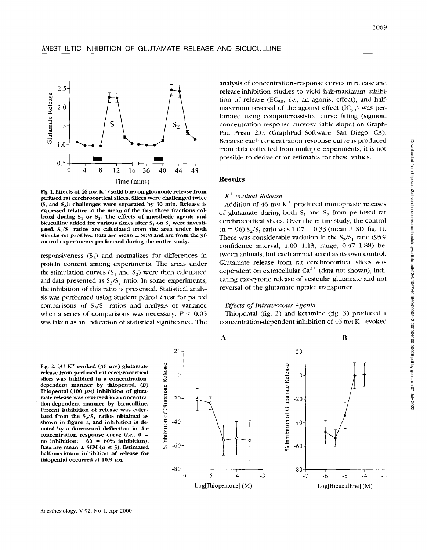

Fig. 1. Effects of  $46$  mm K<sup>+</sup> (solid bar) on glutamate release from perfused rat cerebrocortical slices. Slices were challenged twice  $(S_1 \text{ and } S_2)$ ; challenges were separated by 30 min. Release is expressed relative to the mean of the first three fractions collected during  $S_1$  or  $S_2$ . The effects of anesthetic agents and bicuculline added for various times after  $S_1$  on  $S_2$  were investigated. **S,/S,** ratios are calculated from the area under both stimulation profiles. Data are mean  $\pm$  SEM and are from the 96 control experiments performed during the entire study.

responsiveness  $(S_1)$  and normalizes for differences in protein content among experiments. The areas under the stimulation curves  $(S_1 \text{ and } S_2)$  were then calculated and data presented as  $S_2/S_1$  ratio. In some experiments, the inhibition of this ratio is presented. Statistical analysis was performed using Student paired *t* test for paired comparisons of  $S_2/S_1$  ratios and analysis of variance when a series of comparisons was necessary.  $P \leq 0.05$ was taken as an indication of statistical significance. The analysis of concentration-response curves in release and release-inhibition studies to yield half-maximum inhibition of release ( $EC_{50}$ ; *i.e.*, an agonist effect), and halfmaximum reversal of the agonist effect  $(IC_{50})$  was performed using computer-assisted curve fitting (sigmoid concentration response curve-variable slope) on Graph-Pad Prism 2.0. (GraphPad Software, San Diego, **CA).**  Because each concentration response curve **is** produced from data collected from multiple experiments, it is not possible to derive error estimates for these values.

#### **Results**

#### *K+-evoked Release*

Addition of 46 mm  $K^+$  produced monophasic releases of glutamate during both  $S_1$  and  $S_2$  from perfused rat cerebrocortical slices. Over the entire study, the control  $(n = 96) S_2/S_1$  ratio was  $1.07 \pm 0.33$  (mean  $\pm$  SD; fig. 1). There was considerable variation in the  $S_2/S_1$  ratio (95%) confidence interval, 1.00-1.13; range, 0.47-1.88) between animals, but each animal acted as its own control. Glutamate release from rat cerebrocortical slices was dependent on extracellular  $Ca^{2+}$  (data not shown), indicating exocytotic release of vesicular glutamate and not reversal of the glutamate uptake transporter.

## *Effects of Intruaenous Agents*

Thiopental (fig. *2)* and ketamine (fig. 3) produced a concentration-dependent inhibition of  $46 \text{ mm K}^+$ -evoked

Fig. 2.  $(A)$  K<sup>+</sup>-evoked  $(46 \text{ mm})$  glutamate release from perfused rat cerebrocortical slices was inhibited in a concentrationdependent manner by thiopental. *(B)*  Thiopental  $(100 \mu)$  inhibition of glutamate release was reversed in a concentration-dependent manner by bicuculline. Percent inhibition of release was calculated from the  $S_2/S_1$  ratios obtained as shown in figure 1, and inhibition is denoted by a downward deflection in the concentration response curve *(ie.,* 0 = no inhibition;  $-60 = 60\%$  inhibition). Data are mean  $\pm$  SEM (n  $\geq$  5). Estimated half-maximum inhibition of release for thiopental occurred at  $10.9 \mu$ <sub>M</sub>.



Downloaded from http://asa2.silverchair.com/anesthesiology/article-pdf/92/4/1067/401660/0000542-200004000-00025.pdf by guest on 07 July 2022

Downloaded from http://asa2.siiverchair.com/anesthesiology/article-pdf92/4/1067/401660/000642-200004000-00025.pdf by guest on 07 July 2022

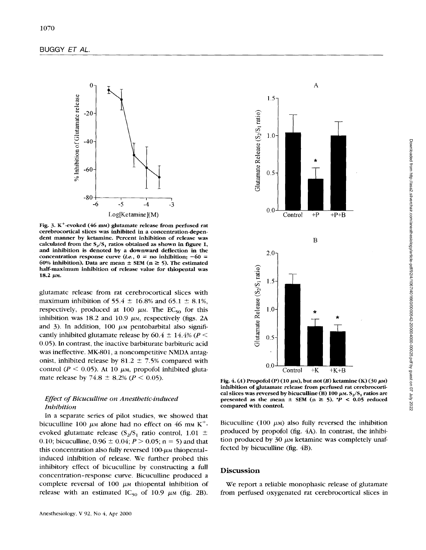

Fig. 3. K+-evoked (46 **nm)** glutamate release from perfused rat cerebrocortical slices was inhibited in a concentration-dependent manner by ketamine. Percent inhibition of release was calculated from the **S,/S,** ratios obtained **as** shown in figure **1,**  and inhibition is denoted by a downward deflection in the concentration response curve  $(i.e., 0 = no$  inhibition;  $-60 =$ 60% inhibition). Data are mean  $\pm$  SEM (n  $\geq$  5). The estimated half-maximum inhibition of release value for thiopental was 18.2 μm.

glutamate release from rat cerebrocortical slices with maximum inhibition of 55.4  $\pm$  16.8% and 65.1  $\pm$  8.1%, respectively, produced at 100  $\mu$ <sub>M</sub>. The EC<sub>50</sub> for this inhibition was 18.2 and 10.9  $\mu$ <sub>M</sub>, respectively (figs. 2A and 3). In addition,  $100 \mu$ <sub>M</sub> pentobarbital also significantly inhibited glutamate release by  $60.4 \pm 14.4\%$  ( $P <$ 0.05). In contrast, the inactive barbiturate barbituric acid was ineffective. MK-801, a noncompetitive **NMDA** antagonist, inhibited release by  $81.2 \pm 7.5\%$  compared with control ( $P \le 0.05$ ). At 10  $\mu$ <sub>M</sub>, propofol inhibited glutamate release by 74.8  $\pm$  8.2% *(P < 0.05)*.

## *Effect of Bicuculline on Anesthetic-induced Inhibition*

In a separate series of pilot studies, we showed that bicuculline 100  $\mu$ <sub>M</sub> alone had no effect on 46 mm K<sup>+</sup>evoked glutamate release  $(S_2/S_1)$  ratio control, 1.01  $\pm$ 0.10; bicuculline,  $0.96 \pm 0.04$ ;  $P > 0.05$ ; n = 5) and that this concentration also fully reversed  $100-\mu$ <sub>M</sub> thiopentalinduced inhibition of release. We further probed this inhibitory effect of bicuculline by constructing a full concentration-response curve. Bicuculline produced a complete reversal of 100  $\mu$ M thiopental inhibition of release with an estimated IC<sub>50</sub> of 10.9  $\mu$ <sub>M</sub> (fig. 2B).



Fig. 4. (A) Propofol  $(P)$  (10  $\mu$ m), but not  $(B)$  ketamine  $(K)$  (30  $\mu$ m) inhibition of glutamate release from perfused rat cerebrocortical slices was reversed by bicuculline (B) 100  $\mu$ m.  $S_2/S_1$  ratios are presented as the mean  $\pm$  SEM (n  $\geq$  5). *\*P* < 0.05 reduced compared with control.

Bicuculline (100  $\mu$ <sub>M</sub>) also fully reversed the inhibition produced by propofol **(fig.** 4A). In contrast, the inhibition produced by 30  $\mu$ <sub>M</sub> ketamine was completely unaffected by bicuculline **(fig.** 4B).

#### **Discussion**

We report a reliable monophasic release of glutamate from perfused oxygenated rat cerebrocortical slices in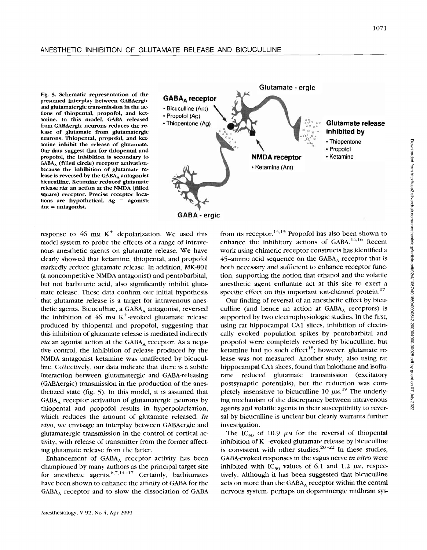#### ANESTHETIC INHIBITION OF GLUTAMATE RELEASE AND BICUCULLINE

**Fig. 5. Schematic representation of the presumed interplay between GABAergic and glutamatergic transmission in the actions of thiopental, propofol, and ketamine. In this model, GABA released from GABAergic neurons reduces the release of glutamate from glutamatergic neurons. Thiopental, propofol, and ketamine inhibit the release of glutamate. Our data suggest that for thiopental and propofol, the inhibition is secondary to**  GABA<sub>A</sub> (filled circle) receptor activation**because the inhibition of glutamate re**lease is reversed by the GABA<sub>A</sub> antagonist **bicuculline. Ketamine reduced glutamate release** *via* **an action at the NMDA (filled square) receptor. Precise receptor locations are hypothetical. Ag** = **agonist; Ant** = **antagonist.** 



response to 46 mm  $K^+$  depolarization. We used this model system to probe the effects of a range of intravenous anesthetic agents on glutamate release. We have clearly showed that ketamine, thiopental, and propofol markedly reduce glutamate release. In addition, MK-801 (a noncompetitive NMDA antagonist) and pentobarbital, but not barbituric acid, also significantly inhibit glutamate release. These data confirm our initial hypothesis that glutamate release is a target for intravenous anesthetic agents. Bicuculline, a GABA, antagonist, reversed the inhibition of 46 mm  $K^+$ -evoked glutamate release produced by thiopental and propofol, suggesting that this inhibition of glutamate release is mediated indirectly *via* an agonist action at the GABA, receptor. **As** a negative control, the inhibition of release produced by the NMDA antagonist ketamine was unaffected by bicuculline. Collectively, our data indicate that there **is** a subtle interaction between glutamatergic and GABA-releasing (GABAergic) transmission in the production of the anesthetized state (fig. **5).** In this model, it is assumed that GABA, receptor activation of glutamatergic neurons by thiopental and propofol results in hyperpolarization, which reduces the amount of glutamate released. *In vivo,* we envisage an interplay between GABAergic and glutamatergic transmission in the control of cortical activity, with release of transmitter from the former affecting glutamate release from the latter.

Enhancement of GABA, receptor activity has been championed by many authors as the principal target site for anesthetic agents.  $6,7,14-17$  Certainly, barbiturates have been shown to enhance the affinity of GABA for the GABA, receptor and to slow the dissociation of GABA from its receptor.<sup>14,15</sup> Propofol has also been shown to enhance the inhibitory actions of  $GABA$ <sup>14,16</sup> Recent work using chimeric receptor constructs has identified a 45-amino acid sequence on the GABA, receptor that is both necessary and sufficient to enhance receptor function, supporting the notion that ethanol and the volatile anesthetic agent enflurane act at this site to exert a specific effect on this important ion-channel protein.<sup>17</sup>

Our finding of reversal of an anesthetic effect by bicuculline (and hence an action at GABA, receptors) is supported by two electrophysiologic studies. In the first, using rat hippocampal CA1 slices, inhibition of electrically evoked population spikes by pentobarbital and propofol were completely reversed by bicuculline, but ketamine had no such effect<sup>18</sup>; however, glutamate release was not measured. Another study, also using rat hippocampal CAI slices, found that halothane and isoflurane reduced glutamate transmission (excitatory postsynaptic potentials), but the reduction was completely insensitive to bicuculline 10  $\mu$ <sub>M</sub>.<sup>19</sup> The underlying mechanism of the discrepancy between intravenous agents and volatile agents in their susceptibility to reversal by bicuculline is unclear but clearly warrants further investigation.

The IC<sub>50</sub> of 10.9  $\mu$ <sub>M</sub> for the reversal of thiopental inhibition of  $K^+$ -evoked glutamate release by bicuculline is consistent with other studies.<sup>20-22</sup> In these studies, GABA-evoked responses in the vagus nerve *in vitro* were inhibited with  $IC_{50}$  values of 6.1 and 1.2  $\mu$ <sub>M</sub>, respectively. Although it has been suggested that bicuculline acts on more than the GABA<sub>A</sub> receptor within the central nervous system, perhaps on dopaminergic midbrain sys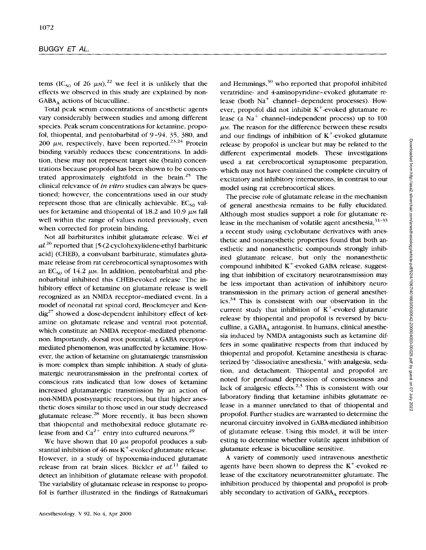tems (IC<sub>50</sub> of 26  $\mu$ <sub>M</sub>),<sup>22</sup> we feel it is unlikely that the effects we observed in this study are explained by non-GABA, actions of bicuculline.

Total peak serum concentrations of anesthetic agents vary considerably between studies and among different species. Peak serum concentrations for ketamine, propofol, thiopental, and pentobarbital of 9-94, 35, **380,** and 200  $\mu$ <sub>M</sub>, respectively, have been reported.<sup>23,24</sup> Protein binding variably reduces these concentrations. In addition, these may not represent target site (brain) concentrations because propofol has been shown to be concentrated approximately eightfold in the brain. *25* The clinical relevance of *in vitro* studies can always be questioned; however, the concentrations used in our study represent those that are clinically achievable.  $EC_{50}$  values for ketamine and thiopental of  $18.2$  and  $10.9 \mu$  *p* $\mu$  fall well within the range of values noted previously, even when corrected for protein binding.

Not all barbiturates inhibit glutamate release. Wei *et al* 26 reported that [ **5-(2-cyclohexylidene-ethyl** barbituric acid] (CHEB), a convulsant barbiturate, stimulates glutamate release from rat cerebrocortical synaptosomes with an  $EC_{50}$  of 14.2  $\mu$ m. In addition, pentobarbital and phenobarbital inhibited this CHEB-evoked release. The inhibitory effect of ketamine on glutamate release is well recognized as an NMDA receptor-mediated event. In a model of neonatal rat spinal cord, Brockmeyer and Kendig<sup>27</sup> showed a dose-dependent inhibitory effect of ketamine on glutamate release and ventral root potential, which constitute **an** NMDA receptor-mediated phenomenon. Importantly, dorsal root potential, a GABA receptormediated phenomenon, was unaffected by ketamine. However, the action of ketamine on glutamatergic transmission is more complex than simple inhibition. A study of glutamatergic neurotransmission in the prefrontal cortex of conscious rats indicated that low doses of ketamine increased glutamatergic transmission by an action of non-NMDA postsynaptic receptors, but that higher anesthetic doses similar to those used in our study decreased glutamate release. $^{28}$  More recently, it has been shown that thiopental and methohexital reduce glutamate release from and  $Ca^{2+}$  entry into cultured neurons.<sup>29</sup>

We have shown that 10  $\mu$ <sub>M</sub> propofol produces a substantial inhibition of  $46 \text{ mm K}^+$ -evoked glutamate release. However, in a study of hypoxemia-induced glutamate release from rat brain slices. Bickler *et al."* failed to detect an inhibition of glutamate release with propofol. The variability of glutamate release in response to propofol is further illustrated in the findings of Ratnakumari and Hemmings, $30$  who reported that propofol inhibited veratridine- and 4-aminopyridine- evoked glutamate release (both  $Na<sup>+</sup>$  channel-dependent processes). However, propofol did not inhibit  $K^+$ -evoked glutamate release (a  $Na<sup>+</sup>$  channel-independent process) up to 100  $\mu$ <sub>M</sub>. The reason for the difference between these results and our findings of inhibition of  $K^+$ -evoked glutamate release by propofol is unclear but may be related to the different experimental models. These investigations used a rat cerebrocortical synaptosome preparation, which may not have contained the complete circuitry of excitatory and inhibitory interneurons, in contrast to our model using rat cerebrocortical slices.

The precise role of glutamate release in the mechanism of general anesthesia remains to be fully elucidated. Although most studies support a role for glutamate release in the mechanism of volatile agent anesthesia, $3^{1-33}$ a recent study using cyclobutane derivatives with anesthetic and nonanesthetic properties found that both anesthetic and nonanesthetic compounds strongly inhibited glutamate release, but only the nonanesthetic compound inhibited  $K^+$ -evoked GABA release, suggesting that inhibition of excitatory neurotransmission may be less important than activation of inhibitory neurotransmission in the primary action of general anesthet $ics.<sup>34</sup>$  This is consistent with our observation in the current study that inhibition of  $K^+$ -evoked glutamate release by thiopental and propofol is reversed by bicuculline, a GABA, antagonist. In humans, clinical anesthesia induced by NMDA antagonists such as ketamine differs in some qualitative respects from that induced by thiopental and propofol. Ketamine anesthesia is characterized by "dissociative anesthesia," with analgesia, sedation, and detachment. Thiopental and propofol are noted for profound depression of consciousness and lack of analgesic effects.<sup>2,3</sup> This is consistent with our laboratory finding that ketamine inhibits glutamate release in a manner unrelated to that of thiopental and propofol. Further studies are warranted to determine the neuronal circuitry involved in GABA-mediated inhibition of glutamate release. Using this model, it will be interesting to determine whether volatile agent inhibition of glutamate release is bicuculline sensitive.

A variety of commonly used intravenous anesthetic agents have been shown to depress the  $K^+$ -evoked release of the excitatory neurotransmitter glutamate. The inhibition produced by thiopental and propofol is probably secondary to activation of GABA, receptors.